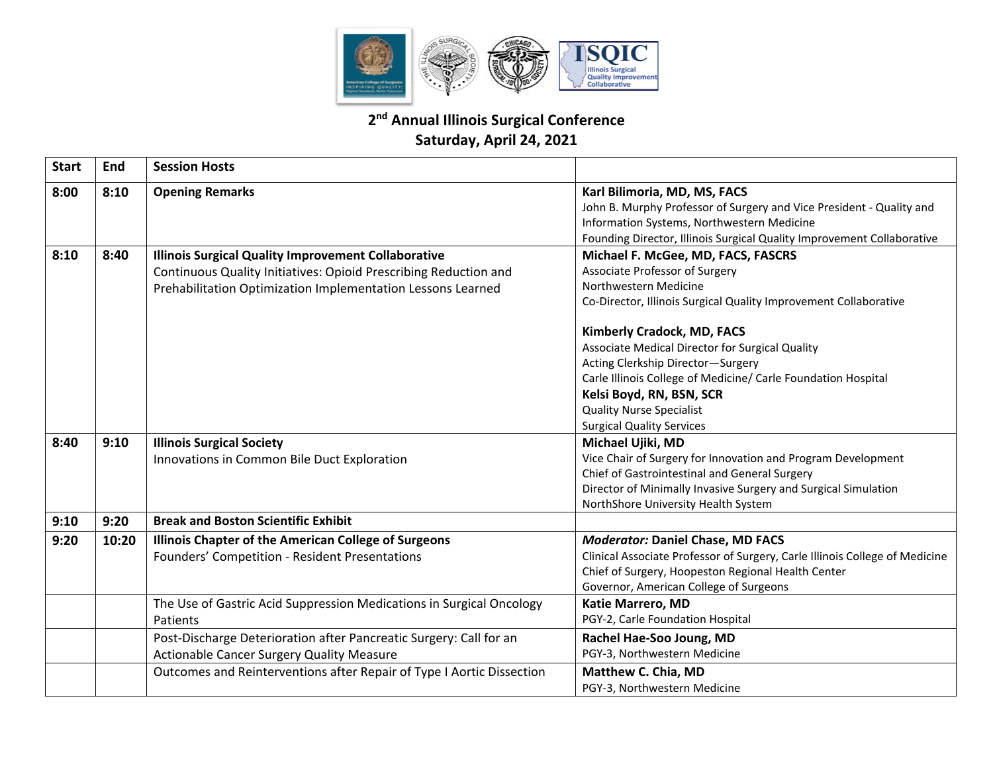

## **2nd Annual Illinois Surgical Conference Saturday, April 24, 2021**

| <b>Start</b> | <b>End</b> | <b>Session Hosts</b>                                                                                                                                                                          |                                                                                                                                                                                                                                                                                                                                                                                             |
|--------------|------------|-----------------------------------------------------------------------------------------------------------------------------------------------------------------------------------------------|---------------------------------------------------------------------------------------------------------------------------------------------------------------------------------------------------------------------------------------------------------------------------------------------------------------------------------------------------------------------------------------------|
| 8:00         | 8:10       | <b>Opening Remarks</b>                                                                                                                                                                        | Karl Bilimoria, MD, MS, FACS<br>John B. Murphy Professor of Surgery and Vice President - Quality and<br>Information Systems, Northwestern Medicine<br>Founding Director, Illinois Surgical Quality Improvement Collaborative                                                                                                                                                                |
| 8:10         | 8:40       | <b>Illinois Surgical Quality Improvement Collaborative</b><br>Continuous Quality Initiatives: Opioid Prescribing Reduction and<br>Prehabilitation Optimization Implementation Lessons Learned | Michael F. McGee, MD, FACS, FASCRS<br>Associate Professor of Surgery<br>Northwestern Medicine<br>Co-Director, Illinois Surgical Quality Improvement Collaborative<br><b>Kimberly Cradock, MD, FACS</b><br>Associate Medical Director for Surgical Quality<br>Acting Clerkship Director-Surgery<br>Carle Illinois College of Medicine/ Carle Foundation Hospital<br>Kelsi Boyd, RN, BSN, SCR |
|              |            |                                                                                                                                                                                               | <b>Quality Nurse Specialist</b><br><b>Surgical Quality Services</b>                                                                                                                                                                                                                                                                                                                         |
| 8:40         | 9:10       | <b>Illinois Surgical Society</b><br>Innovations in Common Bile Duct Exploration                                                                                                               | Michael Ujiki, MD<br>Vice Chair of Surgery for Innovation and Program Development<br>Chief of Gastrointestinal and General Surgery<br>Director of Minimally Invasive Surgery and Surgical Simulation<br>NorthShore University Health System                                                                                                                                                 |
| 9:10         | 9:20       | <b>Break and Boston Scientific Exhibit</b>                                                                                                                                                    |                                                                                                                                                                                                                                                                                                                                                                                             |
| 9:20         | 10:20      | Illinois Chapter of the American College of Surgeons<br>Founders' Competition - Resident Presentations                                                                                        | <b>Moderator: Daniel Chase, MD FACS</b><br>Clinical Associate Professor of Surgery, Carle Illinois College of Medicine<br>Chief of Surgery, Hoopeston Regional Health Center<br>Governor, American College of Surgeons                                                                                                                                                                      |
|              |            | The Use of Gastric Acid Suppression Medications in Surgical Oncology<br>Patients                                                                                                              | <b>Katie Marrero, MD</b><br>PGY-2, Carle Foundation Hospital                                                                                                                                                                                                                                                                                                                                |
|              |            | Post-Discharge Deterioration after Pancreatic Surgery: Call for an<br><b>Actionable Cancer Surgery Quality Measure</b>                                                                        | Rachel Hae-Soo Joung, MD<br>PGY-3, Northwestern Medicine                                                                                                                                                                                                                                                                                                                                    |
|              |            | Outcomes and Reinterventions after Repair of Type I Aortic Dissection                                                                                                                         | Matthew C. Chia, MD<br>PGY-3, Northwestern Medicine                                                                                                                                                                                                                                                                                                                                         |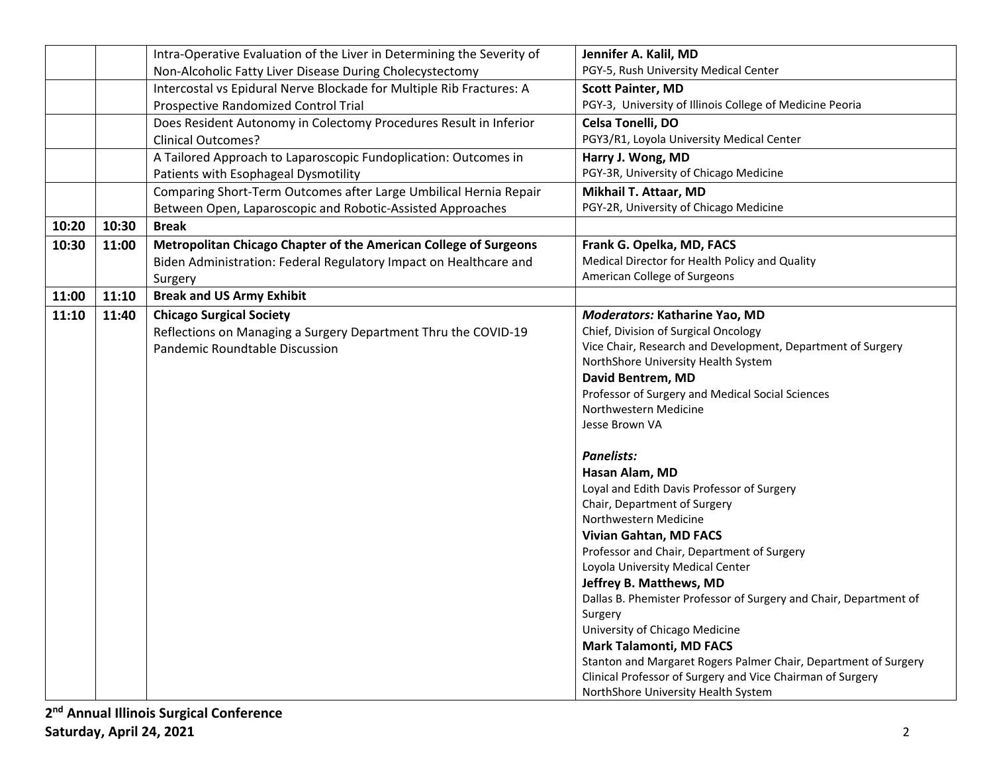|       |       | Intra-Operative Evaluation of the Liver in Determining the Severity of | Jennifer A. Kalil, MD                                             |
|-------|-------|------------------------------------------------------------------------|-------------------------------------------------------------------|
|       |       | Non-Alcoholic Fatty Liver Disease During Cholecystectomy               | PGY-5, Rush University Medical Center                             |
|       |       | Intercostal vs Epidural Nerve Blockade for Multiple Rib Fractures: A   | <b>Scott Painter, MD</b>                                          |
|       |       | Prospective Randomized Control Trial                                   | PGY-3, University of Illinois College of Medicine Peoria          |
|       |       | Does Resident Autonomy in Colectomy Procedures Result in Inferior      | Celsa Tonelli, DO                                                 |
|       |       | <b>Clinical Outcomes?</b>                                              | PGY3/R1, Loyola University Medical Center                         |
|       |       | A Tailored Approach to Laparoscopic Fundoplication: Outcomes in        | Harry J. Wong, MD                                                 |
|       |       | Patients with Esophageal Dysmotility                                   | PGY-3R, University of Chicago Medicine                            |
|       |       | Comparing Short-Term Outcomes after Large Umbilical Hernia Repair      | Mikhail T. Attaar, MD                                             |
|       |       | Between Open, Laparoscopic and Robotic-Assisted Approaches             | PGY-2R, University of Chicago Medicine                            |
| 10:20 | 10:30 | <b>Break</b>                                                           |                                                                   |
| 10:30 | 11:00 | Metropolitan Chicago Chapter of the American College of Surgeons       | Frank G. Opelka, MD, FACS                                         |
|       |       | Biden Administration: Federal Regulatory Impact on Healthcare and      | Medical Director for Health Policy and Quality                    |
|       |       | Surgery                                                                | American College of Surgeons                                      |
| 11:00 | 11:10 | <b>Break and US Army Exhibit</b>                                       |                                                                   |
| 11:10 | 11:40 | <b>Chicago Surgical Society</b>                                        | Moderators: Katharine Yao, MD                                     |
|       |       | Reflections on Managing a Surgery Department Thru the COVID-19         | Chief, Division of Surgical Oncology                              |
|       |       | Pandemic Roundtable Discussion                                         | Vice Chair, Research and Development, Department of Surgery       |
|       |       |                                                                        | NorthShore University Health System                               |
|       |       |                                                                        | David Bentrem, MD                                                 |
|       |       |                                                                        | Professor of Surgery and Medical Social Sciences                  |
|       |       |                                                                        | Northwestern Medicine                                             |
|       |       |                                                                        | Jesse Brown VA                                                    |
|       |       |                                                                        | <b>Panelists:</b>                                                 |
|       |       |                                                                        | Hasan Alam, MD                                                    |
|       |       |                                                                        | Loyal and Edith Davis Professor of Surgery                        |
|       |       |                                                                        | Chair, Department of Surgery                                      |
|       |       |                                                                        | Northwestern Medicine                                             |
|       |       |                                                                        | <b>Vivian Gahtan, MD FACS</b>                                     |
|       |       |                                                                        | Professor and Chair, Department of Surgery                        |
|       |       |                                                                        | Loyola University Medical Center                                  |
|       |       |                                                                        | Jeffrey B. Matthews, MD                                           |
|       |       |                                                                        | Dallas B. Phemister Professor of Surgery and Chair, Department of |
|       |       |                                                                        | Surgery                                                           |
|       |       |                                                                        | University of Chicago Medicine                                    |
|       |       |                                                                        | <b>Mark Talamonti, MD FACS</b>                                    |
|       |       |                                                                        | Stanton and Margaret Rogers Palmer Chair, Department of Surgery   |
|       |       |                                                                        | Clinical Professor of Surgery and Vice Chairman of Surgery        |
|       |       |                                                                        | NorthShore University Health System                               |